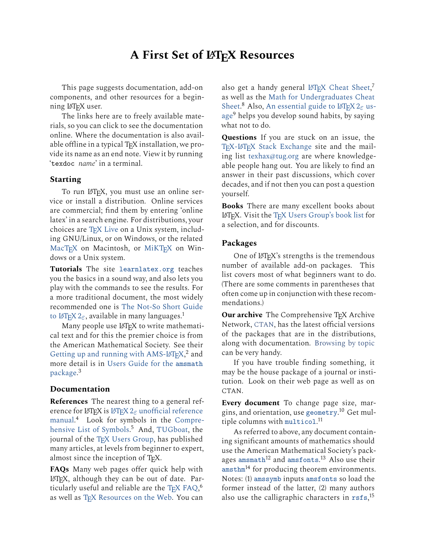# **A First Set of LATEX Resources**

This page suggests documentation, add-on components, and other resources for a beginning L<sup>AT</sup>FX user.

The links here are to freely available materials, so you can click to see the documentation online. Where the documentation is also available offline in a typical  $T_FX$  installation, we provide its name as an end note. View it by running 'texdoc *name*' in a terminal.

### **Starting**

To run LAT<sub>F</sub>X, you must use an online service or install a distribution. Online services are commercial; find them by entering 'online latex' in a search engine. For distributions, your choices are TFX Live on a Unix system, including GNU/Linux, or on Windows, or the related [MacTEX](https://tug.org/mactex/) on Macintosh, or [MiKTEX](https://miktex.org/) on Windows or a Unix system.

**Tutorials** The site [learnlatex.org](https://www.learnlatex.org/) teaches you the basics in a sound way, and also lets you play with the commands to see the results. For a more traditional document, the most widely recommended one is [The Not-So Short Guide](https://ctan.org/pkg/lshort-english) to LAT<sub>E</sub>X 2<sub> $\epsilon$ </sub>, available in many languages.<sup>1</sup>

Many people use LAT<sub>E</sub>X to write mathematical text and for this the premier choice is from the American Mathematical Society. See their [Getting up and running with AMS-L](http://mirror.ctan.org/info/amslatex/primer/amshelp.pdf)<sup>AT</sup>EX,<sup>2</sup> and more detail is in [Users Guide for the](http://mirror.ctan.org/macros/latex/required/amsmath/amsldoc.pdf) amsmath [package.](http://mirror.ctan.org/macros/latex/required/amsmath/amsldoc.pdf) 3

### **Documentation**

**References** The nearest thing to a general reference for LAT<sub>E</sub>X is LAT<sub>E</sub>X 2<sub> $\varepsilon$ </sub> [unofficial reference](http://mirror.ctan.org/info/latex2e-help-texinfo/latex2e.html) [manual.](http://mirror.ctan.org/info/latex2e-help-texinfo/latex2e.html) <sup>4</sup> Look for symbols in the [Compre](http://mirror.ctan.org/info/symbols/comprehensive/symbols-letter.pdf)[hensive List of Symbols.](http://mirror.ctan.org/info/symbols/comprehensive/symbols-letter.pdf) <sup>5</sup> And, [TUGboat,](https://tug.org/TUGboat/) the journal of the [TEX Users Group,](https://tug.org) has published many articles, at levels from beginner to expert, almost since the inception of TFX.

**FAQs** Many web pages offer quick help with LATEX, although they can be out of date. Par-ticularly useful and reliable are the [TEX FAQ,](https://texfaq.org/)<sup>6</sup> as well as [TEX Resources on the Web.](https://tug.org/interest.html) You can

also get a handy general LAT<sub>E</sub>X Cheat Sheet,<sup>7</sup> as well as the [Math for Undergraduates Cheat](http://mirrors.ctan.org/info/undergradmath/undergradmath.pdf) [Sheet.](http://mirrors.ctan.org/info/undergradmath/undergradmath.pdf)<sup>8</sup> Also, [An essential guide to L](http://mirror.ctan.org/info/l2tabu/english/l2tabuen.pdf)<sup>AT</sup>EX 2 $_{\mathcal{E}}$  us[age](http://mirror.ctan.org/info/l2tabu/english/l2tabuen.pdf)<sup>9</sup> helps you develop sound habits, by saying what not to do.

**Questions** If you are stuck on an issue, the T<sub>E</sub>X-LAT<sub>E</sub>X Stack Exchange site and the mailing list [texhax@tug.org](https://lists.tug.org/texhax) are where knowledgeable people hang out. You are likely to find an answer in their past discussions, which cover decades, and if not then you can post a question yourself.

**Books** There are many excellent books about LATEX. Visit the [TEX Users Group's book list](https://tug.org/books/) for a selection, and for discounts.

### **Packages**

One of LATEX's strengths is the tremendous number of available add-on packages. This list covers most of what beginners want to do. (There are some comments in parentheses that often come up in conjunction with these recommendations.)

**Our archive** The Comprehensive TEX Archive Network, [CTAN](https://ctan.org), has the latest official versions of the packages that are in the distributions, along with documentation. [Browsing by topic](https://ctan.org/topics/cloud) can be very handy.

If you have trouble finding something, it may be the house package of a journal or institution. Look on their web page as well as on CTAN.

**Every document** To change page size, margins, and orientation, use [geometry](https://ctan.org/pkg/geometry). <sup>10</sup> Get multiple columns with [multicol](https://ctan.org/pkg/multicol).<sup>11</sup>

As referred to above, any document containing significant amounts of mathematics should use the American Mathematical Society's packages [amsmath](https://ctan.org/pkg/amsmath)<sup>12</sup> and [amsfonts](https://ctan.org/pkg/amsfonts).<sup>13</sup> Also use their  $a$ msthm<sup>14</sup> for producing theorem environments. Notes: (1) [amssymb](https://ctan.org/pkg/amsfonts) inputs [amsfonts](https://ctan.org/pkg/amsfonts) so load the former instead of the latter, (2) many authors also use the calligraphic characters in [rsfs](https://ctan.org/pkg/rsfs),<sup>15</sup>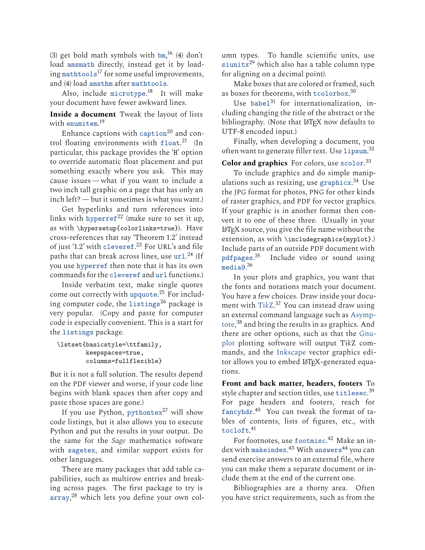(3) get bold math symbols with  $bm,$  $bm,$ <sup>16</sup> (4) don't load [amsmath](https://ctan.org/pkg/amsmath) directly, instead get it by loading [mathtools](https://ctan.org/pkg/mathtools)<sup>17</sup> for some useful improvements, and (4) load [amsthm](https://ctan.org/pkg/amsthm) after [mathtools](https://ctan.org/pkg/mathtools).

Also, include [microtype](https://ctan.org/pkg/microtype).<sup>18</sup> It will make your document have fewer awkward lines.

**Inside a document** Tweak the layout of lists with [enumitem](https://ctan.org/pkg/enumitem). 19

Enhance [caption](https://ctan.org/pkg/caption)s with caption<sup>20</sup> and control floating environments with [float](https://ctan.org/pkg/float). <sup>21</sup> (In particular, this package provides the 'H' option to override automatic float placement and put something exactly where you ask. This may cause issues — what if you want to include a two inch tall graphic on a page that has only an inch left?— but it sometimes is what you want.)

Get hyperlinks and turn references into links with [hyperref](https://ctan.org/pkg/hyperref)<sup>22</sup> (make sure to set it up, as with \hypersetup{colorlinks=true}). Have cross-references that say 'Theorem 1.2' instead of just '1.2' with [cleveref](https://ctan.org/pkg/cleveref). <sup>23</sup> For URL's and file paths that can break across lines, use  $\text{url.}^{24}$  $\text{url.}^{24}$  $\text{url.}^{24}$  (If you use [hyperref](https://ctan.org/pkg/hyperref) then note that it has its own commands for the [cleveref](https://ctan.org/pkg/cleveref) and [url](https://ctan.org/pkg/url) functions.)

Inside verbatim text, make single quotes come out correctly with [upquote](https://ctan.org/pkg/upquote).<sup>25</sup> For including computer code, the [listings](https://ctan.org/pkg/listings)<sup>26</sup> package is very popular. (Copy and paste for computer code is especially convenient. This is a start for the [listings](https://ctan.org/pkg/listings) package.

```
\lstset{basicstyle=\ttfamily,
keepspaces=true,
columns=fullflexible}
```
But it is not a full solution. The results depend on the PDF viewer and worse, if your code line begins with blank spaces then after copy and paste those spaces are gone.)

If you use Python, [pythontex](https://ctan.org/pkg/pythontex) $^{27}$  will show code listings, but it also allows you to execute Python and put the results in your output. Do the same for the *Sage* mathematics software with [sagetex](https://ctan.org/pkg/sagetex), and similar support exists for other languages.

There are many packages that add table capabilities, such as multirow entries and breaking across pages. The first package to try is [array](https://ctan.org/pkg/array), <sup>28</sup> which lets you define your own column types. To handle scientific units, use  $\sin\theta^{29}$  (which also has a table column type for aligning on a decimal point).

Make boxes that are colored or framed, such as boxes for theorems, with  $\mathtt{tcolorbox}^{30}$  $\mathtt{tcolorbox}^{30}$  $\mathtt{tcolorbox}^{30}$ 

Use [babel](https://ctan.org/pkg/babel)<sup>31</sup> for internationalization, including changing the title of the abstract or the bibliography. (Note that L<sup>AT</sup>EX now defaults to UTF-8 encoded input.)

Finally, when developing a document, you often want to generate filler text. Use [lipsum](https://ctan.org/pkg/lipsum).<sup>32</sup>

**Color and graphics** For colors, use [xcolor](https://ctan.org/pkg/xcolor). 33

To include graphics and do simple manipulations such as resizing, use [graphicx](https://ctan.org/pkg/graphicx). <sup>34</sup> Use the JPG format for photos, PNG for other kinds of raster graphics, and PDF for vector graphics. If your graphic is in another format then convert it to one of these three. (Usually in your LATEX source, you give the file name without the extension, as with \includegraphics{myplot}.) Include parts of an outside PDF document with [pdfpages](https://ctan.org/pkg/pdfpages). Include video or sound using [media9](https://ctan.org/pkg/media9).<sup>36</sup>

In your plots and graphics, you want that the fonts and notations match your document. You have a few choices. Draw inside your document with [Ti](https://ctan.org/pkg/pgf)*k*Z. <sup>37</sup> You can instead draw using an external command language such as [Asymp](https://asymptote.sourceforge.io/)[tote,](https://asymptote.sourceforge.io/) <sup>38</sup> and bring the results in as graphics. And there are other options, such as that the [Gnu](http://www.gnuplot.info/)[plot](http://www.gnuplot.info/) plotting software will output Ti*k*Z commands, and the [Inkscape](https://inkscape.org/) vector graphics editor allows you to embed LATFX-generated equations.

**Front and back matter, headers, footers** To style chapter and section titles, use [titlesec](https://ctan.org/pkg/titlesec). 39 For page headers and footers, reach for [fancyhdr](https://ctan.org/pkg/fancyhdr). <sup>40</sup> You can tweak the format of tables of contents, lists of figures, etc., with [tocloft](https://ctan.org/pkg/tocloft). 41

For footnotes, use [footmisc](https://ctan.org/pkg/footmisc). <sup>42</sup> Make an in- $\rm dex$  with [makeindex](https://ctan.org/pkg/makeindex). $^{43}$  With [answers](https://ctan.org/pkg/answers) $^{44}$  you can send exercise answers to an external file, where you can make them a separate document or include them at the end of the current one.

Bibliographies are a thorny area. Often you have strict requirements, such as from the